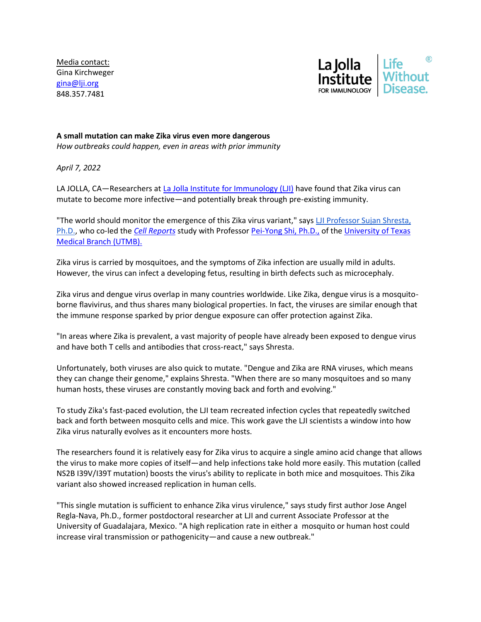Media contact: Gina Kirchweger [gina@lji.org](mailto:gina@lji.org) 848.357.7481



## **A small mutation can make Zika virus even more dangerous**

*How outbreaks could happen, even in areas with prior immunity*

*April 7, 2022*

LA JOLLA, CA—Researchers a[t La Jolla Institute for Immunology \(LJI\)](https://www.lji.org/) have found that Zika virus can mutate to become more infective—and potentially break through pre-existing immunity.

"The world should monitor the emergence of this Zika virus variant," says LJI Professor Sujan Shresta, [Ph.D.,](https://www.lji.org/labs/shresta/) who co-led the *[Cell Reports](https://www.cell.com/cell-reports/home)* study with Professor [Pei-Yong Shi, Ph.D.,](https://bmb.utmb.edu/people/faculty/bios/shi) of the [University of Texas](https://www.utmb.edu/)  [Medical Branch \(UTMB\).](https://www.utmb.edu/)

Zika virus is carried by mosquitoes, and the symptoms of Zika infection are usually mild in adults. However, the virus can infect a developing fetus, resulting in birth defects such as microcephaly.

Zika virus and dengue virus overlap in many countries worldwide. Like Zika, dengue virus is a mosquitoborne flavivirus, and thus shares many biological properties. In fact, the viruses are similar enough that the immune response sparked by prior dengue exposure can offer protection against Zika.

"In areas where Zika is prevalent, a vast majority of people have already been exposed to dengue virus and have both T cells and antibodies that cross-react," says Shresta.

Unfortunately, both viruses are also quick to mutate. "Dengue and Zika are RNA viruses, which means they can change their genome," explains Shresta. "When there are so many mosquitoes and so many human hosts, these viruses are constantly moving back and forth and evolving."

To study Zika's fast-paced evolution, the LJI team recreated infection cycles that repeatedly switched back and forth between mosquito cells and mice. This work gave the LJI scientists a window into how Zika virus naturally evolves as it encounters more hosts.

The researchers found it is relatively easy for Zika virus to acquire a single amino acid change that allows the virus to make more copies of itself—and help infections take hold more easily. This mutation (called NS2B I39V/I39T mutation) boosts the virus's ability to replicate in both mice and mosquitoes. This Zika variant also showed increased replication in human cells.

"This single mutation is sufficient to enhance Zika virus virulence," says study first author Jose Angel Regla-Nava, Ph.D., former postdoctoral researcher at LJI and current Associate Professor at the University of Guadalajara, Mexico. "A high replication rate in either a mosquito or human host could increase viral transmission or pathogenicity—and cause a new outbreak."